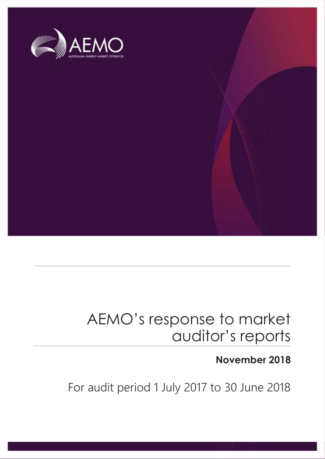

### AEMO's response to market auditor's reports

### **November 2018**

For audit period 1 July 2017 to 30 June 2018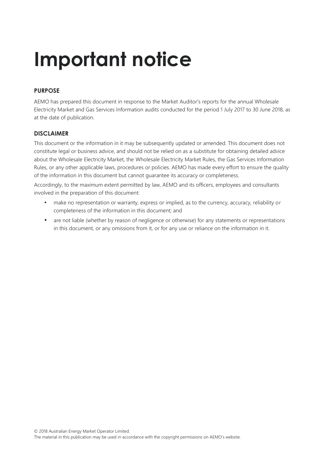### **Important notice**

### **PURPOSE**

AEMO has prepared this document in response to the Market Auditor's reports for the annual Wholesale Electricity Market and Gas Services Information audits conducted for the period 1 July 2017 to 30 June 2018, as at the date of publication.

#### **DISCLAIMER**

This document or the information in it may be subsequently updated or amended. This document does not constitute legal or business advice, and should not be relied on as a substitute for obtaining detailed advice about the Wholesale Electricity Market, the Wholesale Electricity Market Rules, the Gas Services Information Rules, or any other applicable laws, procedures or policies. AEMO has made every effort to ensure the quality of the information in this document but cannot guarantee its accuracy or completeness.

Accordingly, to the maximum extent permitted by law, AEMO and its officers, employees and consultants involved in the preparation of this document:

- make no representation or warranty, express or implied, as to the currency, accuracy, reliability or completeness of the information in this document; and
- are not liable (whether by reason of negligence or otherwise) for any statements or representations in this document, or any omissions from it, or for any use or reliance on the information in it.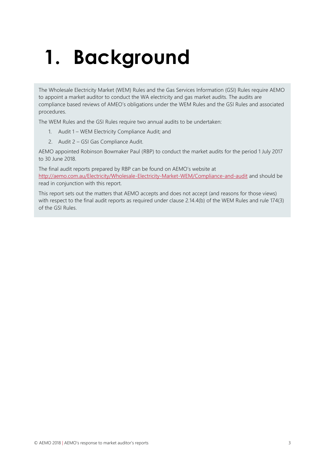## **1. Background**

The Wholesale Electricity Market (WEM) Rules and the Gas Services Information (GSI) Rules require AEMO to appoint a market auditor to conduct the WA electricity and gas market audits. The audits are compliance based reviews of AMEO's obligations under the WEM Rules and the GSI Rules and associated procedures.

The WEM Rules and the GSI Rules require two annual audits to be undertaken:

- 1. Audit 1 WEM Electricity Compliance Audit; and
- 2. Audit 2 GSI Gas Compliance Audit.

AEMO appointed Robinson Bowmaker Paul (RBP) to conduct the market audits for the period 1 July 2017 to 30 June 2018.

The final audit reports prepared by RBP can be found on AEMO's website at <http://aemo.com.au/Electricity/Wholesale-Electricity-Market-WEM/Compliance-and-audit> and should be read in conjunction with this report.

This report sets out the matters that AEMO accepts and does not accept (and reasons for those views) with respect to the final audit reports as required under clause 2.14.4(b) of the WEM Rules and rule 174(3) of the GSI Rules.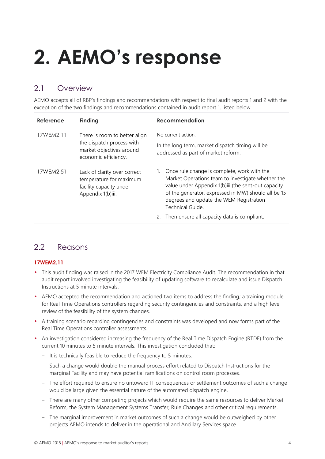# **2. AEMO's response**

### 2.1 Overview

AEMO accepts all of RBP's findings and recommendations with respect to final audit reports 1 and 2 with the exception of the two findings and recommendations contained in audit report 1, listed below.

| Reference | <b>Finding</b>                                                                                                 | <b>Recommendation</b>                                                                                                                                                                                                                                                         |
|-----------|----------------------------------------------------------------------------------------------------------------|-------------------------------------------------------------------------------------------------------------------------------------------------------------------------------------------------------------------------------------------------------------------------------|
| 17WEM2.11 | There is room to better align<br>the dispatch process with<br>market objectives around<br>economic efficiency. | No current action.<br>In the long term, market dispatch timing will be<br>addressed as part of market reform.                                                                                                                                                                 |
| 17WEM2.51 | Lack of clarity over correct<br>temperature for maximum<br>facility capacity under<br>Appendix 1(b)iii.        | Once rule change is complete, work with the<br>Market Operations team to investigate whether the<br>value under Appendix 1(b)iii (the sent-out capacity<br>of the generator, expressed in MW) should all be 15<br>degrees and update the WEM Registration<br>Technical Guide. |
|           |                                                                                                                | Then ensure all capacity data is compliant.<br>2.                                                                                                                                                                                                                             |

### 2.2 Reasons

#### **17WEM2.11**

- This audit finding was raised in the 2017 WEM Electricity Compliance Audit. The recommendation in that audit report involved investigating the feasibility of updating software to recalculate and issue Dispatch Instructions at 5 minute intervals.
- AEMO accepted the recommendation and actioned two items to address the finding; a training module for Real Time Operations controllers regarding security contingencies and constraints, and a high level review of the feasibility of the system changes.
- A training scenario regarding contingencies and constraints was developed and now forms part of the Real Time Operations controller assessments.
- An investigation considered increasing the frequency of the Real Time Dispatch Engine (RTDE) from the current 10 minutes to 5 minute intervals. This investigation concluded that:
	- It is technically feasible to reduce the frequency to 5 minutes.
	- Such a change would double the manual process effort related to Dispatch Instructions for the marginal Facility and may have potential ramifications on control room processes.
	- The effort required to ensure no untoward IT consequences or settlement outcomes of such a change would be large given the essential nature of the automated dispatch engine.
	- There are many other competing projects which would require the same resources to deliver Market Reform, the System Management Systems Transfer, Rule Changes and other critical requirements.
	- The marginal improvement in market outcomes of such a change would be outweighed by other projects AEMO intends to deliver in the operational and Ancillary Services space.